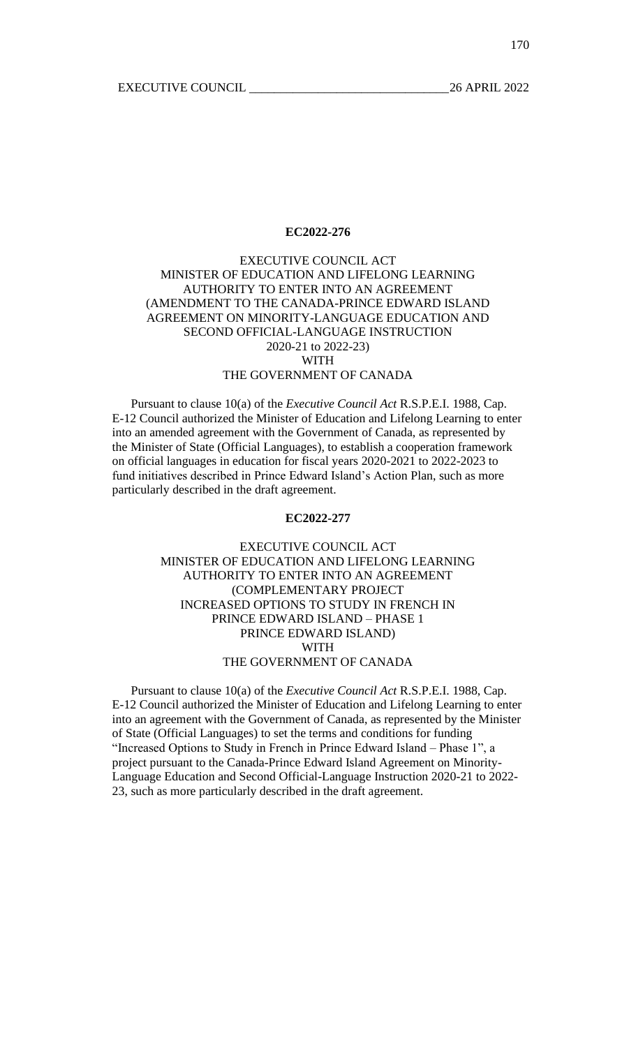# EXECUTIVE COUNCIL ACT MINISTER OF EDUCATION AND LIFELONG LEARNING AUTHORITY TO ENTER INTO AN AGREEMENT (AMENDMENT TO THE CANADA-PRINCE EDWARD ISLAND AGREEMENT ON MINORITY-LANGUAGE EDUCATION AND SECOND OFFICIAL-LANGUAGE INSTRUCTION 2020-21 to 2022-23) WITH

# THE GOVERNMENT OF CANADA

Pursuant to clause 10(a) of the *Executive Council Act* R.S.P.E.I. 1988, Cap. E-12 Council authorized the Minister of Education and Lifelong Learning to enter into an amended agreement with the Government of Canada, as represented by the Minister of State (Official Languages), to establish a cooperation framework on official languages in education for fiscal years 2020-2021 to 2022-2023 to fund initiatives described in Prince Edward Island's Action Plan, such as more particularly described in the draft agreement.

### **EC2022-277**

EXECUTIVE COUNCIL ACT MINISTER OF EDUCATION AND LIFELONG LEARNING AUTHORITY TO ENTER INTO AN AGREEMENT (COMPLEMENTARY PROJECT INCREASED OPTIONS TO STUDY IN FRENCH IN PRINCE EDWARD ISLAND – PHASE 1 PRINCE EDWARD ISLAND) WITH THE GOVERNMENT OF CANADA

Pursuant to clause 10(a) of the *Executive Council Act* R.S.P.E.I. 1988, Cap. E-12 Council authorized the Minister of Education and Lifelong Learning to enter into an agreement with the Government of Canada, as represented by the Minister of State (Official Languages) to set the terms and conditions for funding "Increased Options to Study in French in Prince Edward Island – Phase 1", a project pursuant to the Canada-Prince Edward Island Agreement on Minority-Language Education and Second Official-Language Instruction 2020-21 to 2022- 23, such as more particularly described in the draft agreement.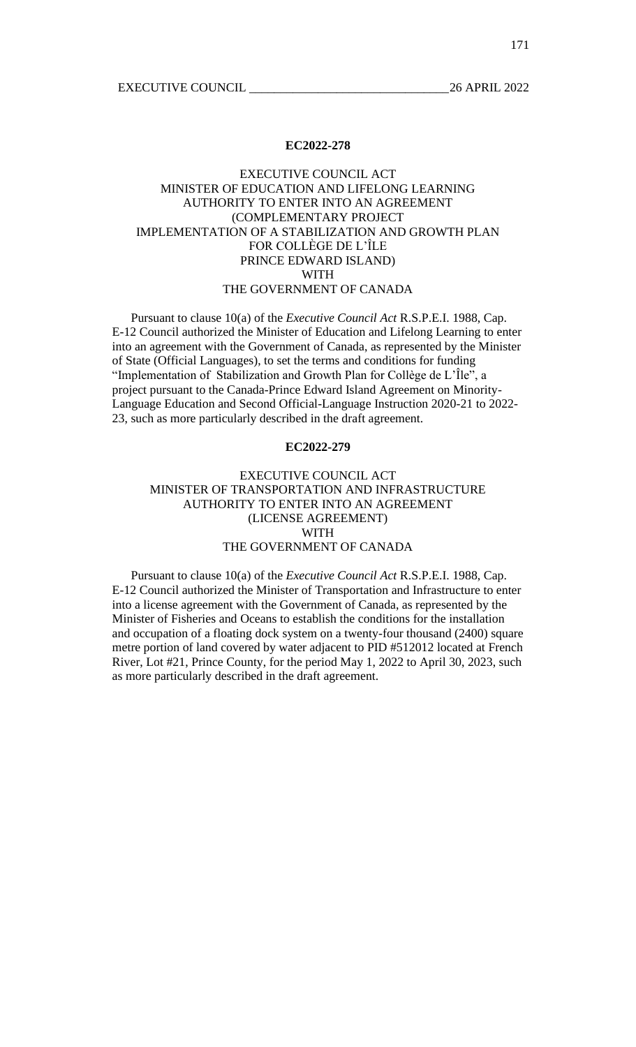EXECUTIVE COUNCIL 2022

### **EC2022-278**

# EXECUTIVE COUNCIL ACT MINISTER OF EDUCATION AND LIFELONG LEARNING AUTHORITY TO ENTER INTO AN AGREEMENT (COMPLEMENTARY PROJECT IMPLEMENTATION OF A STABILIZATION AND GROWTH PLAN FOR COLLÈGE DE L'ÎLE PRINCE EDWARD ISLAND) WITH THE GOVERNMENT OF CANADA

Pursuant to clause 10(a) of the *Executive Council Act* R.S.P.E.I. 1988, Cap. E-12 Council authorized the Minister of Education and Lifelong Learning to enter into an agreement with the Government of Canada, as represented by the Minister of State (Official Languages), to set the terms and conditions for funding "Implementation of Stabilization and Growth Plan for Collège de L'Île", a project pursuant to the Canada-Prince Edward Island Agreement on Minority-Language Education and Second Official-Language Instruction 2020-21 to 2022- 23, such as more particularly described in the draft agreement.

## **EC2022-279**

# EXECUTIVE COUNCIL ACT MINISTER OF TRANSPORTATION AND INFRASTRUCTURE AUTHORITY TO ENTER INTO AN AGREEMENT (LICENSE AGREEMENT) WITH THE GOVERNMENT OF CANADA

Pursuant to clause 10(a) of the *Executive Council Act* R.S.P.E.I. 1988, Cap. E-12 Council authorized the Minister of Transportation and Infrastructure to enter into a license agreement with the Government of Canada, as represented by the Minister of Fisheries and Oceans to establish the conditions for the installation and occupation of a floating dock system on a twenty-four thousand (2400) square metre portion of land covered by water adjacent to PID #512012 located at French River, Lot #21, Prince County, for the period May 1, 2022 to April 30, 2023, such as more particularly described in the draft agreement.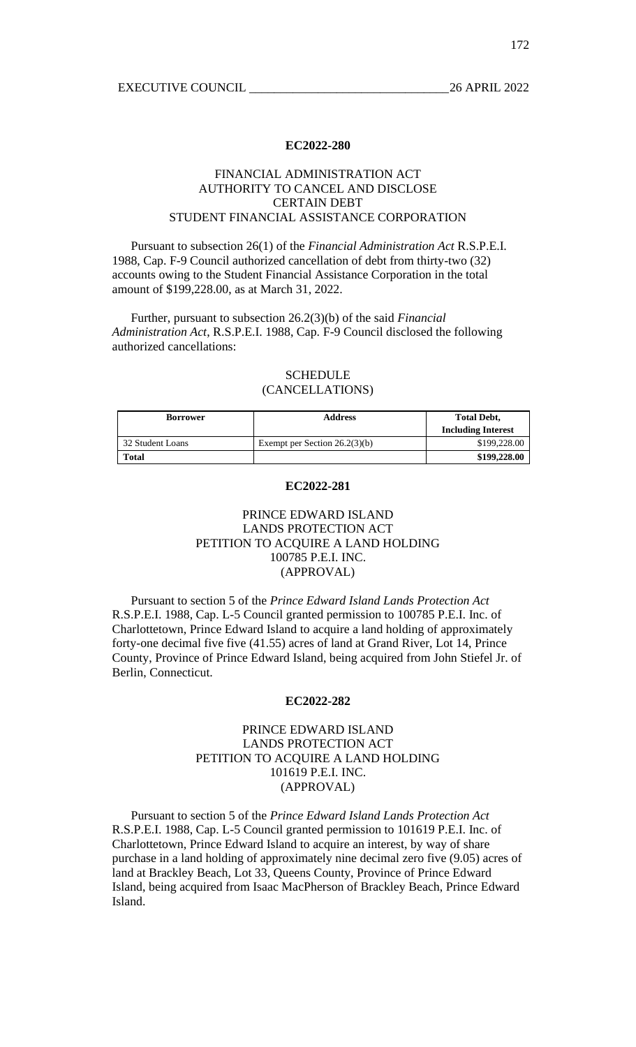# FINANCIAL ADMINISTRATION ACT AUTHORITY TO CANCEL AND DISCLOSE CERTAIN DEBT STUDENT FINANCIAL ASSISTANCE CORPORATION

Pursuant to subsection 26(1) of the *Financial Administration Act* R.S.P.E.I. 1988, Cap. F-9 Council authorized cancellation of debt from thirty-two (32) accounts owing to the Student Financial Assistance Corporation in the total amount of \$199,228.00, as at March 31, 2022.

Further, pursuant to subsection 26.2(3)(b) of the said *Financial Administration Act*, R.S.P.E.I. 1988, Cap. F-9 Council disclosed the following authorized cancellations:

# **SCHEDULE** (CANCELLATIONS)

| <b>Borrower</b>  | <b>Address</b>                  | <b>Total Debt,</b><br><b>Including Interest</b> |
|------------------|---------------------------------|-------------------------------------------------|
| 32 Student Loans | Exempt per Section $26.2(3)(b)$ | \$199,228.00                                    |
| Total            |                                 | \$199,228.00                                    |

### **EC2022-281**

# PRINCE EDWARD ISLAND LANDS PROTECTION ACT PETITION TO ACQUIRE A LAND HOLDING 100785 P.E.I. INC. (APPROVAL)

Pursuant to section 5 of the *Prince Edward Island Lands Protection Act* R.S.P.E.I. 1988, Cap. L-5 Council granted permission to 100785 P.E.I. Inc. of Charlottetown, Prince Edward Island to acquire a land holding of approximately forty-one decimal five five (41.55) acres of land at Grand River, Lot 14, Prince County, Province of Prince Edward Island, being acquired from John Stiefel Jr. of Berlin, Connecticut.

#### **EC2022-282**

## PRINCE EDWARD ISLAND LANDS PROTECTION ACT PETITION TO ACQUIRE A LAND HOLDING 101619 P.E.I. INC. (APPROVAL)

Pursuant to section 5 of the *Prince Edward Island Lands Protection Act* R.S.P.E.I. 1988, Cap. L-5 Council granted permission to 101619 P.E.I. Inc. of Charlottetown, Prince Edward Island to acquire an interest, by way of share purchase in a land holding of approximately nine decimal zero five (9.05) acres of land at Brackley Beach, Lot 33, Queens County, Province of Prince Edward Island, being acquired from Isaac MacPherson of Brackley Beach, Prince Edward Island.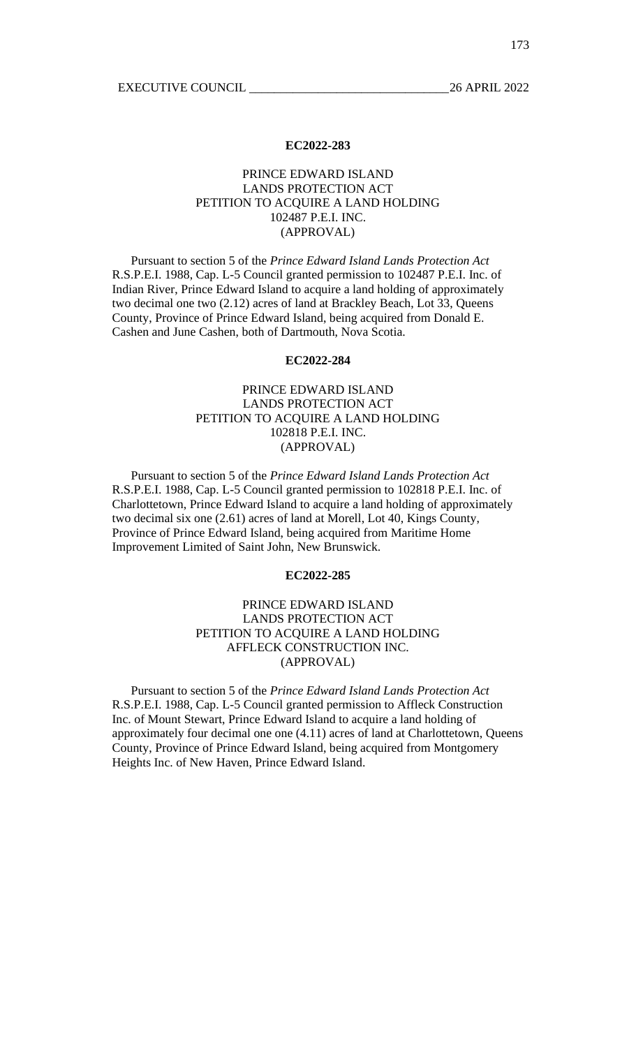# PRINCE EDWARD ISLAND LANDS PROTECTION ACT PETITION TO ACQUIRE A LAND HOLDING 102487 P.E.I. INC. (APPROVAL)

Pursuant to section 5 of the *Prince Edward Island Lands Protection Act* R.S.P.E.I. 1988, Cap. L-5 Council granted permission to 102487 P.E.I. Inc. of Indian River, Prince Edward Island to acquire a land holding of approximately two decimal one two (2.12) acres of land at Brackley Beach, Lot 33, Queens County, Province of Prince Edward Island, being acquired from Donald E. Cashen and June Cashen, both of Dartmouth, Nova Scotia.

## **EC2022-284**

# PRINCE EDWARD ISLAND LANDS PROTECTION ACT PETITION TO ACQUIRE A LAND HOLDING 102818 P.E.I. INC. (APPROVAL)

Pursuant to section 5 of the *Prince Edward Island Lands Protection Act* R.S.P.E.I. 1988, Cap. L-5 Council granted permission to 102818 P.E.I. Inc. of Charlottetown, Prince Edward Island to acquire a land holding of approximately two decimal six one (2.61) acres of land at Morell, Lot 40, Kings County, Province of Prince Edward Island, being acquired from Maritime Home Improvement Limited of Saint John, New Brunswick.

## **EC2022-285**

# PRINCE EDWARD ISLAND LANDS PROTECTION ACT PETITION TO ACQUIRE A LAND HOLDING AFFLECK CONSTRUCTION INC. (APPROVAL)

Pursuant to section 5 of the *Prince Edward Island Lands Protection Act* R.S.P.E.I. 1988, Cap. L-5 Council granted permission to Affleck Construction Inc. of Mount Stewart, Prince Edward Island to acquire a land holding of approximately four decimal one one (4.11) acres of land at Charlottetown, Queens County, Province of Prince Edward Island, being acquired from Montgomery Heights Inc. of New Haven, Prince Edward Island.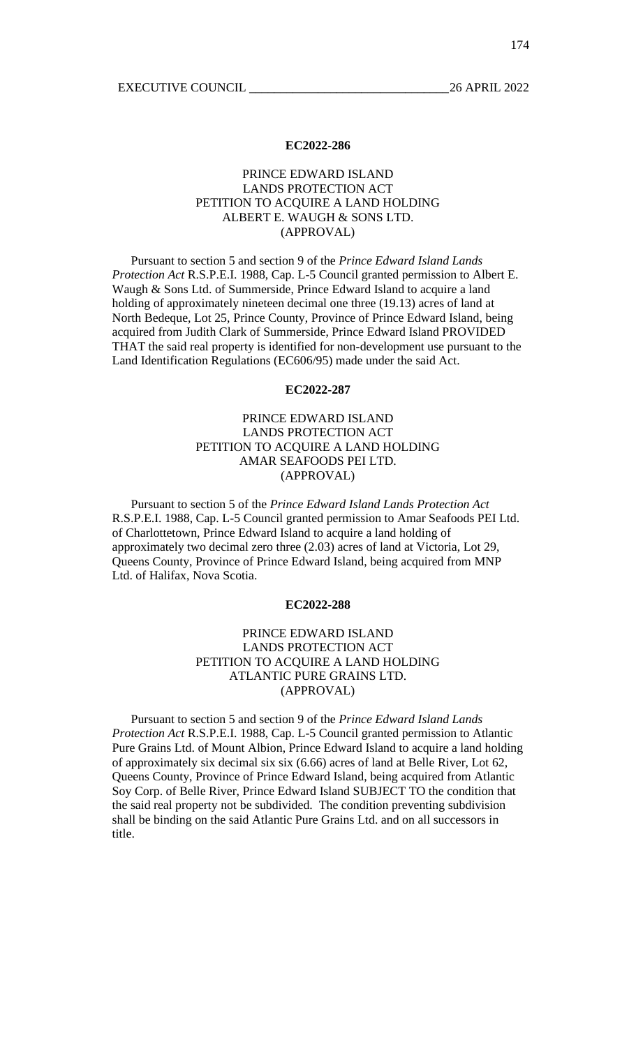## PRINCE EDWARD ISLAND LANDS PROTECTION ACT PETITION TO ACQUIRE A LAND HOLDING ALBERT E. WAUGH & SONS LTD. (APPROVAL)

Pursuant to section 5 and section 9 of the *Prince Edward Island Lands Protection Act* R.S.P.E.I. 1988, Cap. L-5 Council granted permission to Albert E. Waugh & Sons Ltd. of Summerside, Prince Edward Island to acquire a land holding of approximately nineteen decimal one three (19.13) acres of land at North Bedeque, Lot 25, Prince County, Province of Prince Edward Island, being acquired from Judith Clark of Summerside, Prince Edward Island PROVIDED THAT the said real property is identified for non-development use pursuant to the Land Identification Regulations (EC606/95) made under the said Act.

## **EC2022-287**

# PRINCE EDWARD ISLAND LANDS PROTECTION ACT PETITION TO ACQUIRE A LAND HOLDING AMAR SEAFOODS PEI LTD. (APPROVAL)

Pursuant to section 5 of the *Prince Edward Island Lands Protection Act* R.S.P.E.I. 1988, Cap. L-5 Council granted permission to Amar Seafoods PEI Ltd. of Charlottetown, Prince Edward Island to acquire a land holding of approximately two decimal zero three (2.03) acres of land at Victoria, Lot 29, Queens County, Province of Prince Edward Island, being acquired from MNP Ltd. of Halifax, Nova Scotia.

## **EC2022-288**

# PRINCE EDWARD ISLAND LANDS PROTECTION ACT PETITION TO ACQUIRE A LAND HOLDING ATLANTIC PURE GRAINS LTD. (APPROVAL)

Pursuant to section 5 and section 9 of the *Prince Edward Island Lands Protection Act* R.S.P.E.I. 1988, Cap. L-5 Council granted permission to Atlantic Pure Grains Ltd. of Mount Albion, Prince Edward Island to acquire a land holding of approximately six decimal six six (6.66) acres of land at Belle River, Lot 62, Queens County, Province of Prince Edward Island, being acquired from Atlantic Soy Corp. of Belle River, Prince Edward Island SUBJECT TO the condition that the said real property not be subdivided. The condition preventing subdivision shall be binding on the said Atlantic Pure Grains Ltd. and on all successors in title.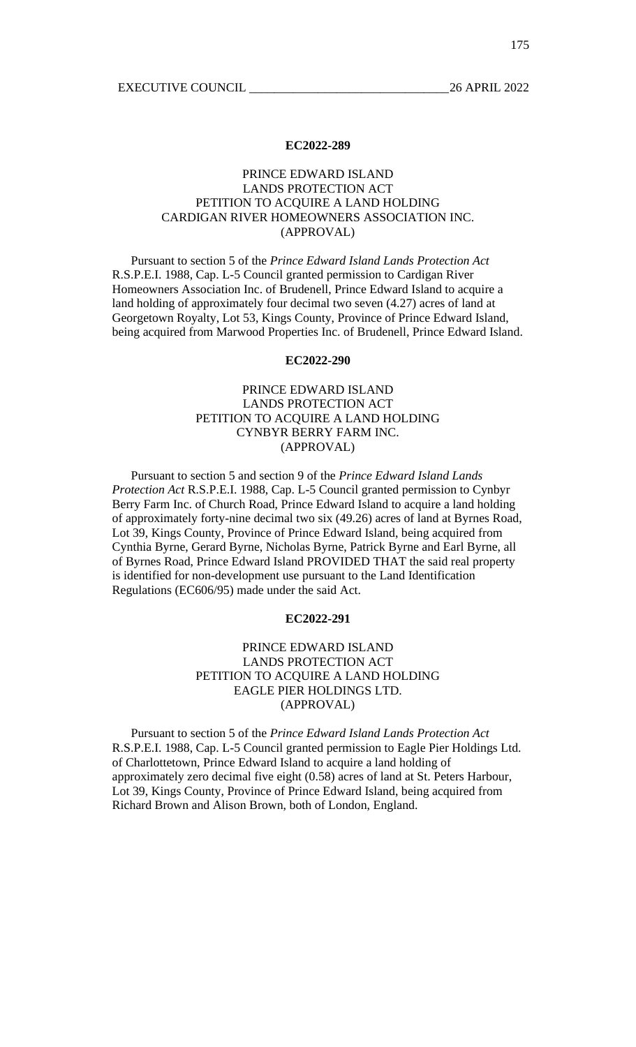# PRINCE EDWARD ISLAND LANDS PROTECTION ACT PETITION TO ACQUIRE A LAND HOLDING CARDIGAN RIVER HOMEOWNERS ASSOCIATION INC. (APPROVAL)

Pursuant to section 5 of the *Prince Edward Island Lands Protection Act* R.S.P.E.I. 1988, Cap. L-5 Council granted permission to Cardigan River Homeowners Association Inc. of Brudenell, Prince Edward Island to acquire a land holding of approximately four decimal two seven (4.27) acres of land at Georgetown Royalty, Lot 53, Kings County, Province of Prince Edward Island, being acquired from Marwood Properties Inc. of Brudenell, Prince Edward Island.

## **EC2022-290**

# PRINCE EDWARD ISLAND LANDS PROTECTION ACT PETITION TO ACQUIRE A LAND HOLDING CYNBYR BERRY FARM INC. (APPROVAL)

Pursuant to section 5 and section 9 of the *Prince Edward Island Lands Protection Act* R.S.P.E.I. 1988, Cap. L-5 Council granted permission to Cynbyr Berry Farm Inc. of Church Road, Prince Edward Island to acquire a land holding of approximately forty-nine decimal two six (49.26) acres of land at Byrnes Road, Lot 39, Kings County, Province of Prince Edward Island, being acquired from Cynthia Byrne, Gerard Byrne, Nicholas Byrne, Patrick Byrne and Earl Byrne, all of Byrnes Road, Prince Edward Island PROVIDED THAT the said real property is identified for non-development use pursuant to the Land Identification Regulations (EC606/95) made under the said Act.

## **EC2022-291**

# PRINCE EDWARD ISLAND LANDS PROTECTION ACT PETITION TO ACQUIRE A LAND HOLDING EAGLE PIER HOLDINGS LTD. (APPROVAL)

Pursuant to section 5 of the *Prince Edward Island Lands Protection Act* R.S.P.E.I. 1988, Cap. L-5 Council granted permission to Eagle Pier Holdings Ltd. of Charlottetown, Prince Edward Island to acquire a land holding of approximately zero decimal five eight (0.58) acres of land at St. Peters Harbour, Lot 39, Kings County, Province of Prince Edward Island, being acquired from Richard Brown and Alison Brown, both of London, England.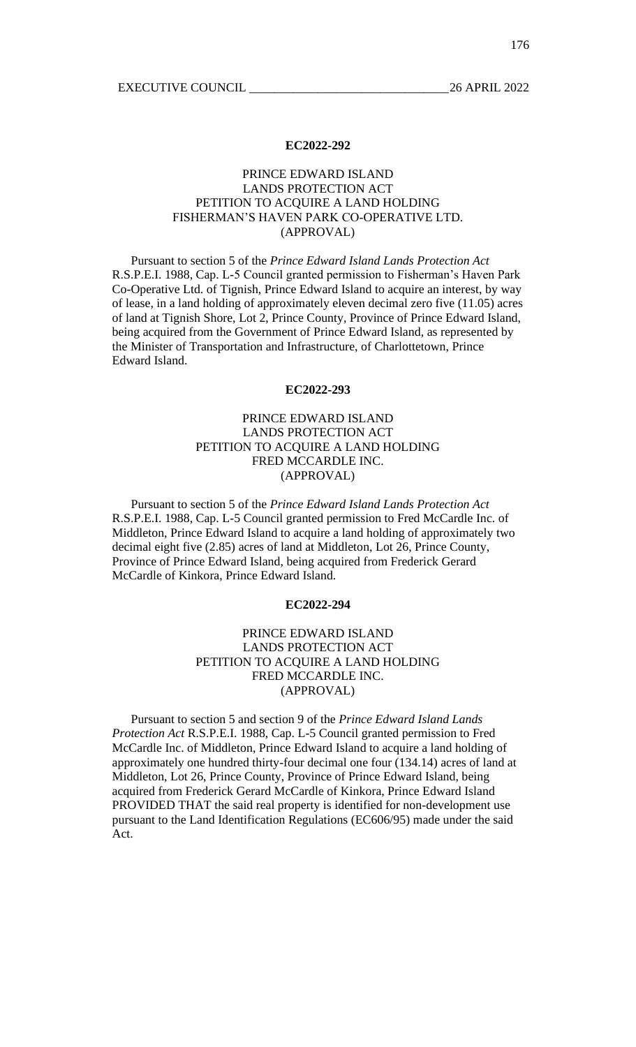# PRINCE EDWARD ISLAND LANDS PROTECTION ACT PETITION TO ACQUIRE A LAND HOLDING FISHERMAN'S HAVEN PARK CO-OPERATIVE LTD. (APPROVAL)

Pursuant to section 5 of the *Prince Edward Island Lands Protection Act* R.S.P.E.I. 1988, Cap. L-5 Council granted permission to Fisherman's Haven Park Co-Operative Ltd. of Tignish, Prince Edward Island to acquire an interest, by way of lease, in a land holding of approximately eleven decimal zero five (11.05) acres of land at Tignish Shore, Lot 2, Prince County, Province of Prince Edward Island, being acquired from the Government of Prince Edward Island, as represented by the Minister of Transportation and Infrastructure, of Charlottetown, Prince Edward Island.

### **EC2022-293**

# PRINCE EDWARD ISLAND LANDS PROTECTION ACT PETITION TO ACQUIRE A LAND HOLDING FRED MCCARDLE INC. (APPROVAL)

Pursuant to section 5 of the *Prince Edward Island Lands Protection Act* R.S.P.E.I. 1988, Cap. L-5 Council granted permission to Fred McCardle Inc. of Middleton, Prince Edward Island to acquire a land holding of approximately two decimal eight five (2.85) acres of land at Middleton, Lot 26, Prince County, Province of Prince Edward Island, being acquired from Frederick Gerard McCardle of Kinkora, Prince Edward Island.

## **EC2022-294**

# PRINCE EDWARD ISLAND LANDS PROTECTION ACT PETITION TO ACQUIRE A LAND HOLDING FRED MCCARDLE INC. (APPROVAL)

Pursuant to section 5 and section 9 of the *Prince Edward Island Lands Protection Act* R.S.P.E.I. 1988, Cap. L-5 Council granted permission to Fred McCardle Inc. of Middleton, Prince Edward Island to acquire a land holding of approximately one hundred thirty-four decimal one four (134.14) acres of land at Middleton, Lot 26, Prince County, Province of Prince Edward Island, being acquired from Frederick Gerard McCardle of Kinkora, Prince Edward Island PROVIDED THAT the said real property is identified for non-development use pursuant to the Land Identification Regulations (EC606/95) made under the said Act.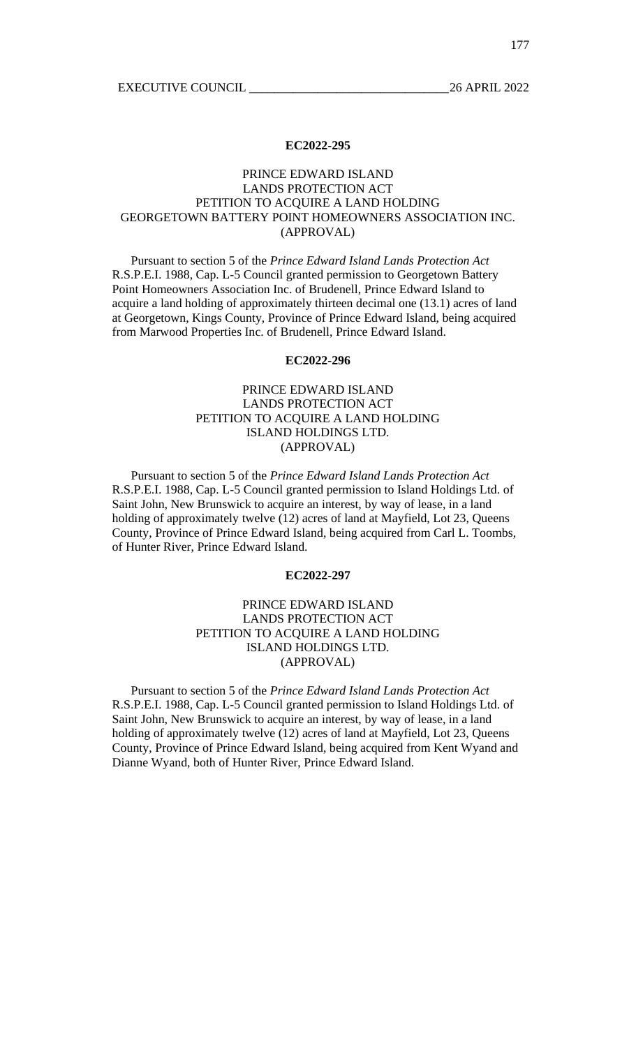# PRINCE EDWARD ISLAND LANDS PROTECTION ACT PETITION TO ACQUIRE A LAND HOLDING GEORGETOWN BATTERY POINT HOMEOWNERS ASSOCIATION INC. (APPROVAL)

Pursuant to section 5 of the *Prince Edward Island Lands Protection Act* R.S.P.E.I. 1988, Cap. L-5 Council granted permission to Georgetown Battery Point Homeowners Association Inc. of Brudenell, Prince Edward Island to acquire a land holding of approximately thirteen decimal one (13.1) acres of land at Georgetown, Kings County, Province of Prince Edward Island, being acquired from Marwood Properties Inc. of Brudenell, Prince Edward Island.

## **EC2022-296**

# PRINCE EDWARD ISLAND LANDS PROTECTION ACT PETITION TO ACQUIRE A LAND HOLDING ISLAND HOLDINGS LTD. (APPROVAL)

Pursuant to section 5 of the *Prince Edward Island Lands Protection Act* R.S.P.E.I. 1988, Cap. L-5 Council granted permission to Island Holdings Ltd. of Saint John, New Brunswick to acquire an interest, by way of lease, in a land holding of approximately twelve (12) acres of land at Mayfield, Lot 23, Queens County, Province of Prince Edward Island, being acquired from Carl L. Toombs, of Hunter River, Prince Edward Island.

## **EC2022-297**

# PRINCE EDWARD ISLAND LANDS PROTECTION ACT PETITION TO ACQUIRE A LAND HOLDING ISLAND HOLDINGS LTD. (APPROVAL)

Pursuant to section 5 of the *Prince Edward Island Lands Protection Act* R.S.P.E.I. 1988, Cap. L-5 Council granted permission to Island Holdings Ltd. of Saint John, New Brunswick to acquire an interest, by way of lease, in a land holding of approximately twelve (12) acres of land at Mayfield, Lot 23, Queens County, Province of Prince Edward Island, being acquired from Kent Wyand and Dianne Wyand, both of Hunter River, Prince Edward Island.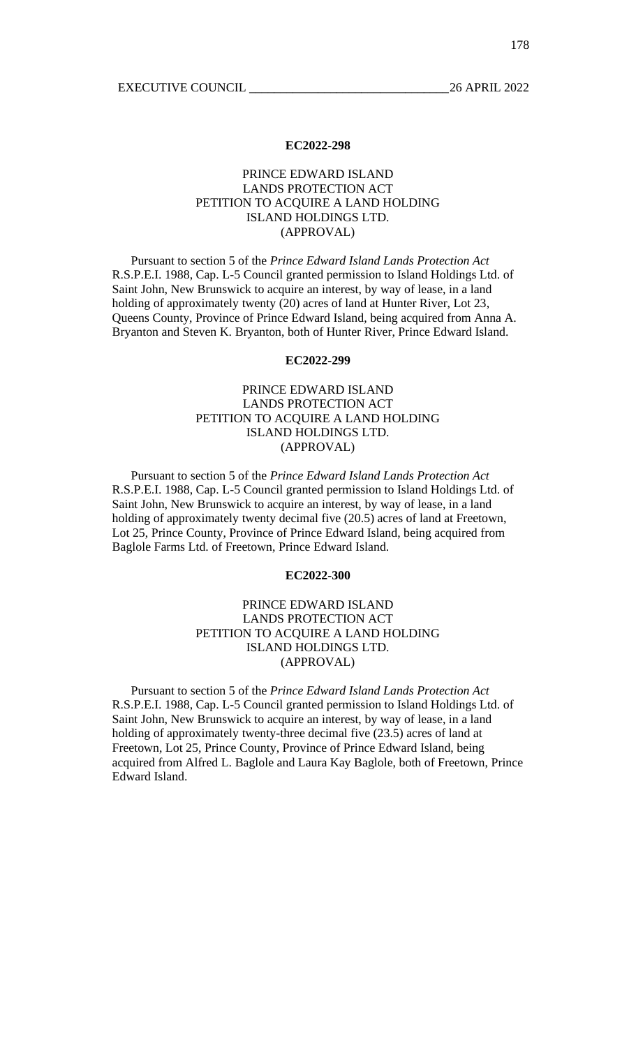# PRINCE EDWARD ISLAND LANDS PROTECTION ACT PETITION TO ACQUIRE A LAND HOLDING ISLAND HOLDINGS LTD. (APPROVAL)

Pursuant to section 5 of the *Prince Edward Island Lands Protection Act* R.S.P.E.I. 1988, Cap. L-5 Council granted permission to Island Holdings Ltd. of Saint John, New Brunswick to acquire an interest, by way of lease, in a land holding of approximately twenty (20) acres of land at Hunter River, Lot 23, Queens County, Province of Prince Edward Island, being acquired from Anna A. Bryanton and Steven K. Bryanton, both of Hunter River, Prince Edward Island.

## **EC2022-299**

# PRINCE EDWARD ISLAND LANDS PROTECTION ACT PETITION TO ACQUIRE A LAND HOLDING ISLAND HOLDINGS LTD. (APPROVAL)

Pursuant to section 5 of the *Prince Edward Island Lands Protection Act* R.S.P.E.I. 1988, Cap. L-5 Council granted permission to Island Holdings Ltd. of Saint John, New Brunswick to acquire an interest, by way of lease, in a land holding of approximately twenty decimal five (20.5) acres of land at Freetown, Lot 25, Prince County, Province of Prince Edward Island, being acquired from Baglole Farms Ltd. of Freetown, Prince Edward Island.

## **EC2022-300**

# PRINCE EDWARD ISLAND LANDS PROTECTION ACT PETITION TO ACQUIRE A LAND HOLDING ISLAND HOLDINGS LTD. (APPROVAL)

Pursuant to section 5 of the *Prince Edward Island Lands Protection Act* R.S.P.E.I. 1988, Cap. L-5 Council granted permission to Island Holdings Ltd. of Saint John, New Brunswick to acquire an interest, by way of lease, in a land holding of approximately twenty-three decimal five (23.5) acres of land at Freetown, Lot 25, Prince County, Province of Prince Edward Island, being acquired from Alfred L. Baglole and Laura Kay Baglole, both of Freetown, Prince Edward Island.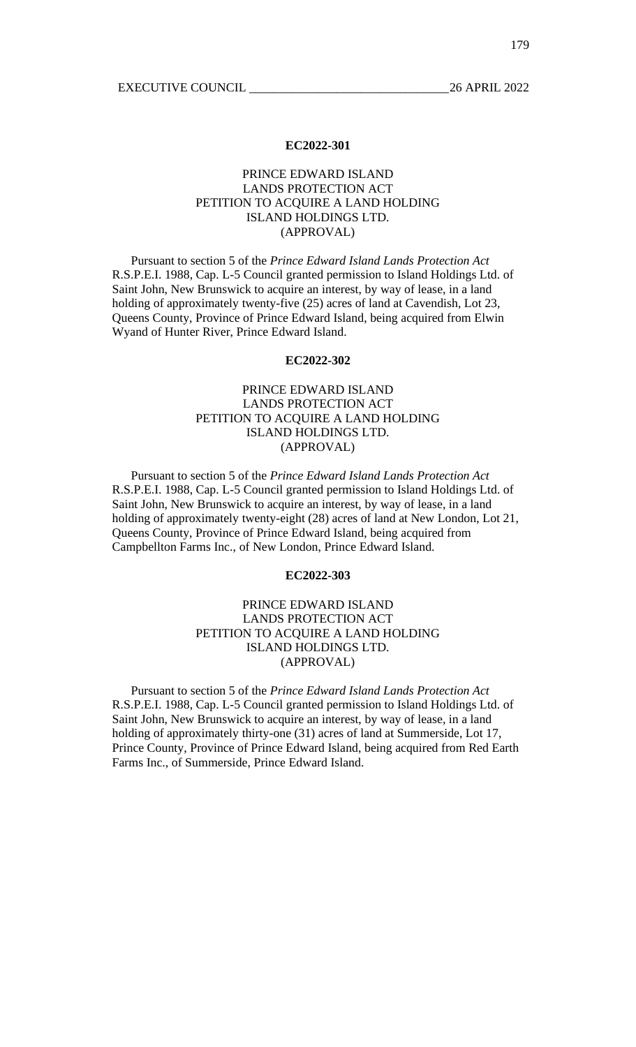# PRINCE EDWARD ISLAND LANDS PROTECTION ACT PETITION TO ACQUIRE A LAND HOLDING ISLAND HOLDINGS LTD. (APPROVAL)

Pursuant to section 5 of the *Prince Edward Island Lands Protection Act* R.S.P.E.I. 1988, Cap. L-5 Council granted permission to Island Holdings Ltd. of Saint John, New Brunswick to acquire an interest, by way of lease, in a land holding of approximately twenty-five (25) acres of land at Cavendish, Lot 23, Queens County, Province of Prince Edward Island, being acquired from Elwin Wyand of Hunter River, Prince Edward Island.

### **EC2022-302**

# PRINCE EDWARD ISLAND LANDS PROTECTION ACT PETITION TO ACQUIRE A LAND HOLDING ISLAND HOLDINGS LTD. (APPROVAL)

Pursuant to section 5 of the *Prince Edward Island Lands Protection Act* R.S.P.E.I. 1988, Cap. L-5 Council granted permission to Island Holdings Ltd. of Saint John, New Brunswick to acquire an interest, by way of lease, in a land holding of approximately twenty-eight (28) acres of land at New London, Lot 21, Queens County, Province of Prince Edward Island, being acquired from Campbellton Farms Inc., of New London, Prince Edward Island.

## **EC2022-303**

# PRINCE EDWARD ISLAND LANDS PROTECTION ACT PETITION TO ACQUIRE A LAND HOLDING ISLAND HOLDINGS LTD. (APPROVAL)

Pursuant to section 5 of the *Prince Edward Island Lands Protection Act* R.S.P.E.I. 1988, Cap. L-5 Council granted permission to Island Holdings Ltd. of Saint John, New Brunswick to acquire an interest, by way of lease, in a land holding of approximately thirty-one (31) acres of land at Summerside, Lot 17, Prince County, Province of Prince Edward Island, being acquired from Red Earth Farms Inc., of Summerside, Prince Edward Island.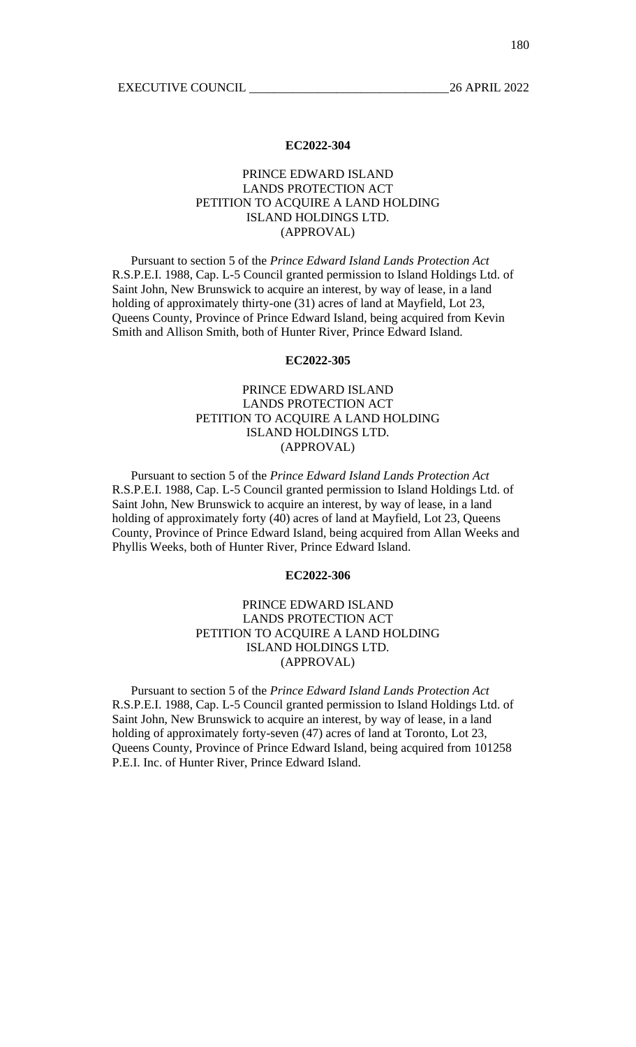# PRINCE EDWARD ISLAND LANDS PROTECTION ACT PETITION TO ACQUIRE A LAND HOLDING ISLAND HOLDINGS LTD. (APPROVAL)

Pursuant to section 5 of the *Prince Edward Island Lands Protection Act* R.S.P.E.I. 1988, Cap. L-5 Council granted permission to Island Holdings Ltd. of Saint John, New Brunswick to acquire an interest, by way of lease, in a land holding of approximately thirty-one (31) acres of land at Mayfield, Lot 23, Queens County, Province of Prince Edward Island, being acquired from Kevin Smith and Allison Smith, both of Hunter River, Prince Edward Island.

## **EC2022-305**

# PRINCE EDWARD ISLAND LANDS PROTECTION ACT PETITION TO ACQUIRE A LAND HOLDING ISLAND HOLDINGS LTD. (APPROVAL)

Pursuant to section 5 of the *Prince Edward Island Lands Protection Act* R.S.P.E.I. 1988, Cap. L-5 Council granted permission to Island Holdings Ltd. of Saint John, New Brunswick to acquire an interest, by way of lease, in a land holding of approximately forty (40) acres of land at Mayfield, Lot 23, Queens County, Province of Prince Edward Island, being acquired from Allan Weeks and Phyllis Weeks, both of Hunter River, Prince Edward Island.

## **EC2022-306**

# PRINCE EDWARD ISLAND LANDS PROTECTION ACT PETITION TO ACQUIRE A LAND HOLDING ISLAND HOLDINGS LTD. (APPROVAL)

Pursuant to section 5 of the *Prince Edward Island Lands Protection Act* R.S.P.E.I. 1988, Cap. L-5 Council granted permission to Island Holdings Ltd. of Saint John, New Brunswick to acquire an interest, by way of lease, in a land holding of approximately forty-seven (47) acres of land at Toronto, Lot 23, Queens County, Province of Prince Edward Island, being acquired from 101258 P.E.I. Inc. of Hunter River, Prince Edward Island.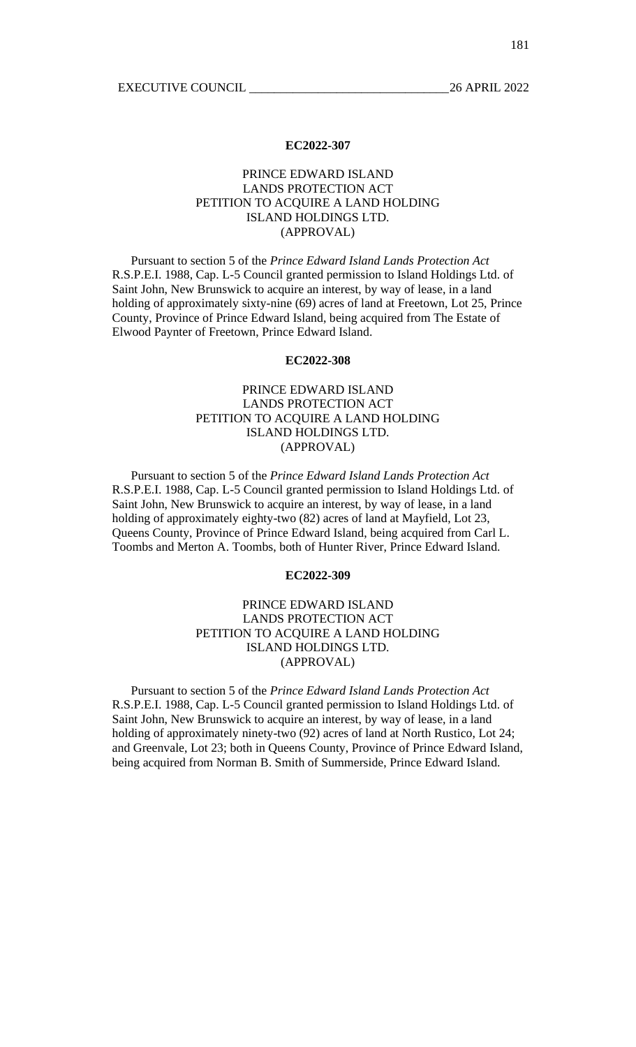# PRINCE EDWARD ISLAND LANDS PROTECTION ACT PETITION TO ACQUIRE A LAND HOLDING ISLAND HOLDINGS LTD. (APPROVAL)

Pursuant to section 5 of the *Prince Edward Island Lands Protection Act* R.S.P.E.I. 1988, Cap. L-5 Council granted permission to Island Holdings Ltd. of Saint John, New Brunswick to acquire an interest, by way of lease, in a land holding of approximately sixty-nine (69) acres of land at Freetown, Lot 25, Prince County, Province of Prince Edward Island, being acquired from The Estate of Elwood Paynter of Freetown, Prince Edward Island.

### **EC2022-308**

# PRINCE EDWARD ISLAND LANDS PROTECTION ACT PETITION TO ACQUIRE A LAND HOLDING ISLAND HOLDINGS LTD. (APPROVAL)

Pursuant to section 5 of the *Prince Edward Island Lands Protection Act* R.S.P.E.I. 1988, Cap. L-5 Council granted permission to Island Holdings Ltd. of Saint John, New Brunswick to acquire an interest, by way of lease, in a land holding of approximately eighty-two (82) acres of land at Mayfield, Lot 23, Queens County, Province of Prince Edward Island, being acquired from Carl L. Toombs and Merton A. Toombs, both of Hunter River, Prince Edward Island.

## **EC2022-309**

# PRINCE EDWARD ISLAND LANDS PROTECTION ACT PETITION TO ACQUIRE A LAND HOLDING ISLAND HOLDINGS LTD. (APPROVAL)

Pursuant to section 5 of the *Prince Edward Island Lands Protection Act* R.S.P.E.I. 1988, Cap. L-5 Council granted permission to Island Holdings Ltd. of Saint John, New Brunswick to acquire an interest, by way of lease, in a land holding of approximately ninety-two (92) acres of land at North Rustico, Lot 24; and Greenvale, Lot 23; both in Queens County, Province of Prince Edward Island, being acquired from Norman B. Smith of Summerside, Prince Edward Island.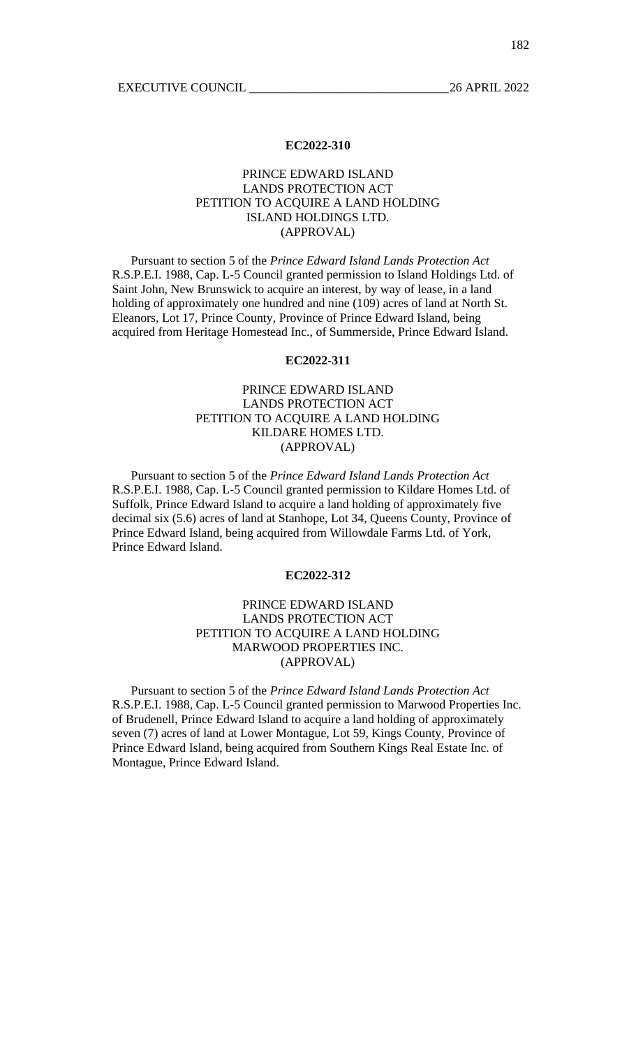# PRINCE EDWARD ISLAND LANDS PROTECTION ACT PETITION TO ACQUIRE A LAND HOLDING ISLAND HOLDINGS LTD. (APPROVAL)

Pursuant to section 5 of the *Prince Edward Island Lands Protection Act* R.S.P.E.I. 1988, Cap. L-5 Council granted permission to Island Holdings Ltd. of Saint John, New Brunswick to acquire an interest, by way of lease, in a land holding of approximately one hundred and nine (109) acres of land at North St. Eleanors, Lot 17, Prince County, Province of Prince Edward Island, being acquired from Heritage Homestead Inc., of Summerside, Prince Edward Island.

## **EC2022-311**

# PRINCE EDWARD ISLAND LANDS PROTECTION ACT PETITION TO ACQUIRE A LAND HOLDING KILDARE HOMES LTD. (APPROVAL)

Pursuant to section 5 of the *Prince Edward Island Lands Protection Act* R.S.P.E.I. 1988, Cap. L-5 Council granted permission to Kildare Homes Ltd. of Suffolk, Prince Edward Island to acquire a land holding of approximately five decimal six (5.6) acres of land at Stanhope, Lot 34, Queens County, Province of Prince Edward Island, being acquired from Willowdale Farms Ltd. of York, Prince Edward Island.

## **EC2022-312**

# PRINCE EDWARD ISLAND LANDS PROTECTION ACT PETITION TO ACQUIRE A LAND HOLDING MARWOOD PROPERTIES INC. (APPROVAL)

Pursuant to section 5 of the *Prince Edward Island Lands Protection Act* R.S.P.E.I. 1988, Cap. L-5 Council granted permission to Marwood Properties Inc. of Brudenell, Prince Edward Island to acquire a land holding of approximately seven (7) acres of land at Lower Montague, Lot 59, Kings County, Province of Prince Edward Island, being acquired from Southern Kings Real Estate Inc. of Montague, Prince Edward Island.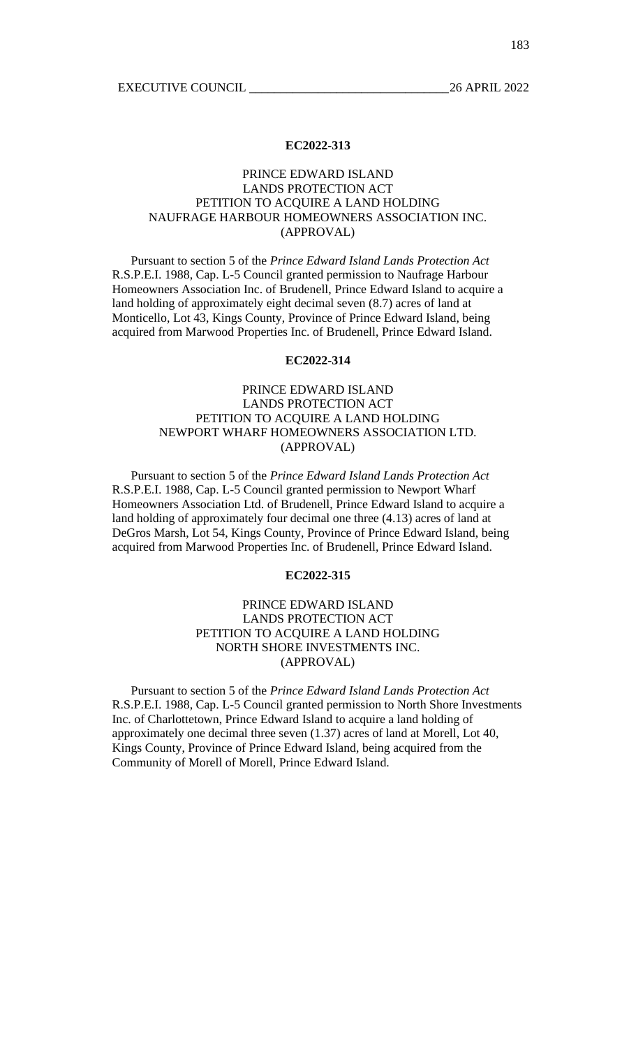# PRINCE EDWARD ISLAND LANDS PROTECTION ACT PETITION TO ACQUIRE A LAND HOLDING NAUFRAGE HARBOUR HOMEOWNERS ASSOCIATION INC. (APPROVAL)

Pursuant to section 5 of the *Prince Edward Island Lands Protection Act* R.S.P.E.I. 1988, Cap. L-5 Council granted permission to Naufrage Harbour Homeowners Association Inc. of Brudenell, Prince Edward Island to acquire a land holding of approximately eight decimal seven (8.7) acres of land at Monticello, Lot 43, Kings County, Province of Prince Edward Island, being acquired from Marwood Properties Inc. of Brudenell, Prince Edward Island.

## **EC2022-314**

# PRINCE EDWARD ISLAND LANDS PROTECTION ACT PETITION TO ACQUIRE A LAND HOLDING NEWPORT WHARF HOMEOWNERS ASSOCIATION LTD. (APPROVAL)

Pursuant to section 5 of the *Prince Edward Island Lands Protection Act* R.S.P.E.I. 1988, Cap. L-5 Council granted permission to Newport Wharf Homeowners Association Ltd. of Brudenell, Prince Edward Island to acquire a land holding of approximately four decimal one three (4.13) acres of land at DeGros Marsh, Lot 54, Kings County, Province of Prince Edward Island, being acquired from Marwood Properties Inc. of Brudenell, Prince Edward Island.

## **EC2022-315**

# PRINCE EDWARD ISLAND LANDS PROTECTION ACT PETITION TO ACQUIRE A LAND HOLDING NORTH SHORE INVESTMENTS INC. (APPROVAL)

Pursuant to section 5 of the *Prince Edward Island Lands Protection Act* R.S.P.E.I. 1988, Cap. L-5 Council granted permission to North Shore Investments Inc. of Charlottetown, Prince Edward Island to acquire a land holding of approximately one decimal three seven (1.37) acres of land at Morell, Lot 40, Kings County, Province of Prince Edward Island, being acquired from the Community of Morell of Morell, Prince Edward Island.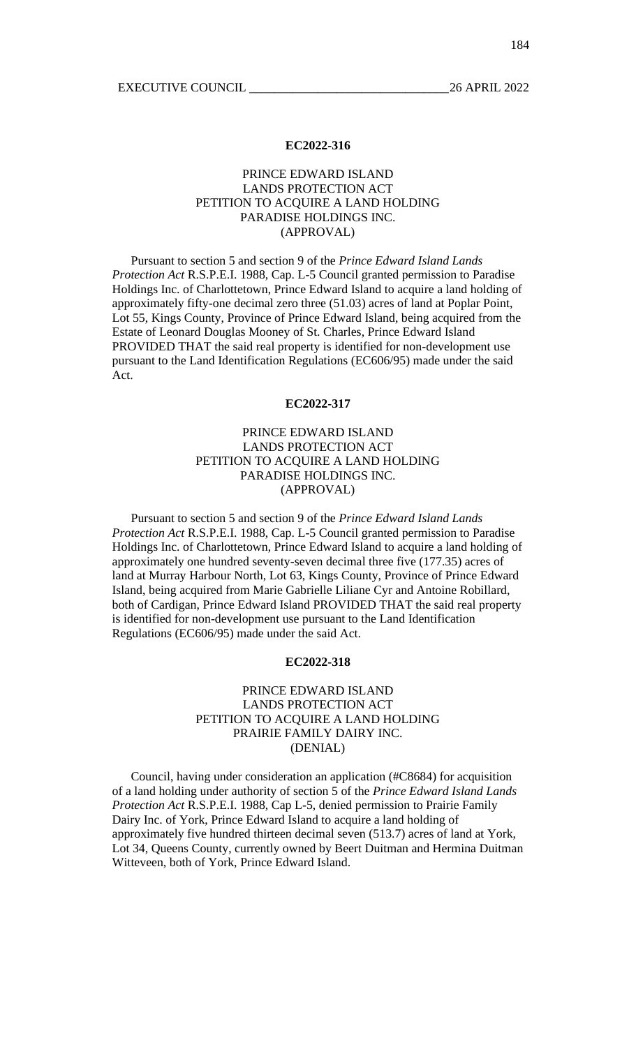# PRINCE EDWARD ISLAND LANDS PROTECTION ACT PETITION TO ACQUIRE A LAND HOLDING PARADISE HOLDINGS INC. (APPROVAL)

Pursuant to section 5 and section 9 of the *Prince Edward Island Lands Protection Act* R.S.P.E.I. 1988, Cap. L-5 Council granted permission to Paradise Holdings Inc. of Charlottetown, Prince Edward Island to acquire a land holding of approximately fifty-one decimal zero three (51.03) acres of land at Poplar Point, Lot 55, Kings County, Province of Prince Edward Island, being acquired from the Estate of Leonard Douglas Mooney of St. Charles, Prince Edward Island PROVIDED THAT the said real property is identified for non-development use pursuant to the Land Identification Regulations (EC606/95) made under the said Act.

#### **EC2022-317**

# PRINCE EDWARD ISLAND LANDS PROTECTION ACT PETITION TO ACQUIRE A LAND HOLDING PARADISE HOLDINGS INC. (APPROVAL)

Pursuant to section 5 and section 9 of the *Prince Edward Island Lands Protection Act* R.S.P.E.I. 1988, Cap. L-5 Council granted permission to Paradise Holdings Inc. of Charlottetown, Prince Edward Island to acquire a land holding of approximately one hundred seventy-seven decimal three five (177.35) acres of land at Murray Harbour North, Lot 63, Kings County, Province of Prince Edward Island, being acquired from Marie Gabrielle Liliane Cyr and Antoine Robillard, both of Cardigan, Prince Edward Island PROVIDED THAT the said real property is identified for non-development use pursuant to the Land Identification Regulations (EC606/95) made under the said Act.

## **EC2022-318**

# PRINCE EDWARD ISLAND LANDS PROTECTION ACT PETITION TO ACQUIRE A LAND HOLDING PRAIRIE FAMILY DAIRY INC. (DENIAL)

Council, having under consideration an application (#C8684) for acquisition of a land holding under authority of section 5 of the *Prince Edward Island Lands Protection Act* R.S.P.E.I. 1988, Cap L-5, denied permission to Prairie Family Dairy Inc. of York, Prince Edward Island to acquire a land holding of approximately five hundred thirteen decimal seven (513.7) acres of land at York, Lot 34, Queens County, currently owned by Beert Duitman and Hermina Duitman Witteveen, both of York, Prince Edward Island.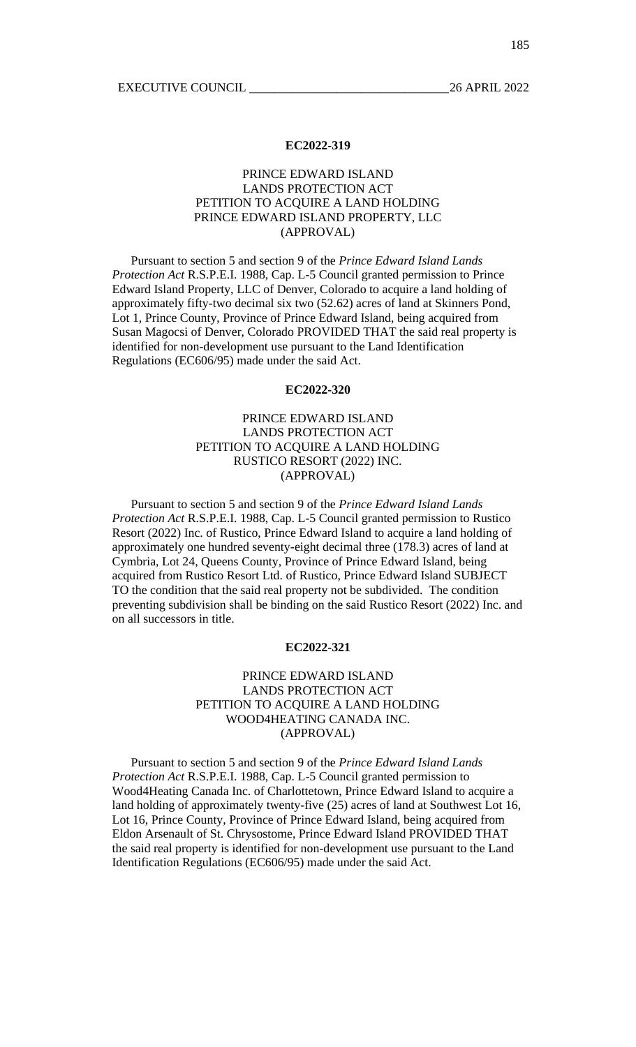# PRINCE EDWARD ISLAND LANDS PROTECTION ACT PETITION TO ACQUIRE A LAND HOLDING PRINCE EDWARD ISLAND PROPERTY, LLC (APPROVAL)

Pursuant to section 5 and section 9 of the *Prince Edward Island Lands Protection Act* R.S.P.E.I. 1988, Cap. L-5 Council granted permission to Prince Edward Island Property, LLC of Denver, Colorado to acquire a land holding of approximately fifty-two decimal six two (52.62) acres of land at Skinners Pond, Lot 1, Prince County, Province of Prince Edward Island, being acquired from Susan Magocsi of Denver, Colorado PROVIDED THAT the said real property is identified for non-development use pursuant to the Land Identification Regulations (EC606/95) made under the said Act.

### **EC2022-320**

# PRINCE EDWARD ISLAND LANDS PROTECTION ACT PETITION TO ACQUIRE A LAND HOLDING RUSTICO RESORT (2022) INC. (APPROVAL)

Pursuant to section 5 and section 9 of the *Prince Edward Island Lands Protection Act* R.S.P.E.I. 1988, Cap. L-5 Council granted permission to Rustico Resort (2022) Inc. of Rustico, Prince Edward Island to acquire a land holding of approximately one hundred seventy-eight decimal three (178.3) acres of land at Cymbria, Lot 24, Queens County, Province of Prince Edward Island, being acquired from Rustico Resort Ltd. of Rustico, Prince Edward Island SUBJECT TO the condition that the said real property not be subdivided. The condition preventing subdivision shall be binding on the said Rustico Resort (2022) Inc. and on all successors in title.

### **EC2022-321**

# PRINCE EDWARD ISLAND LANDS PROTECTION ACT PETITION TO ACQUIRE A LAND HOLDING WOOD4HEATING CANADA INC. (APPROVAL)

Pursuant to section 5 and section 9 of the *Prince Edward Island Lands Protection Act* R.S.P.E.I. 1988, Cap. L-5 Council granted permission to Wood4Heating Canada Inc. of Charlottetown, Prince Edward Island to acquire a land holding of approximately twenty-five (25) acres of land at Southwest Lot 16, Lot 16, Prince County, Province of Prince Edward Island, being acquired from Eldon Arsenault of St. Chrysostome, Prince Edward Island PROVIDED THAT the said real property is identified for non-development use pursuant to the Land Identification Regulations (EC606/95) made under the said Act.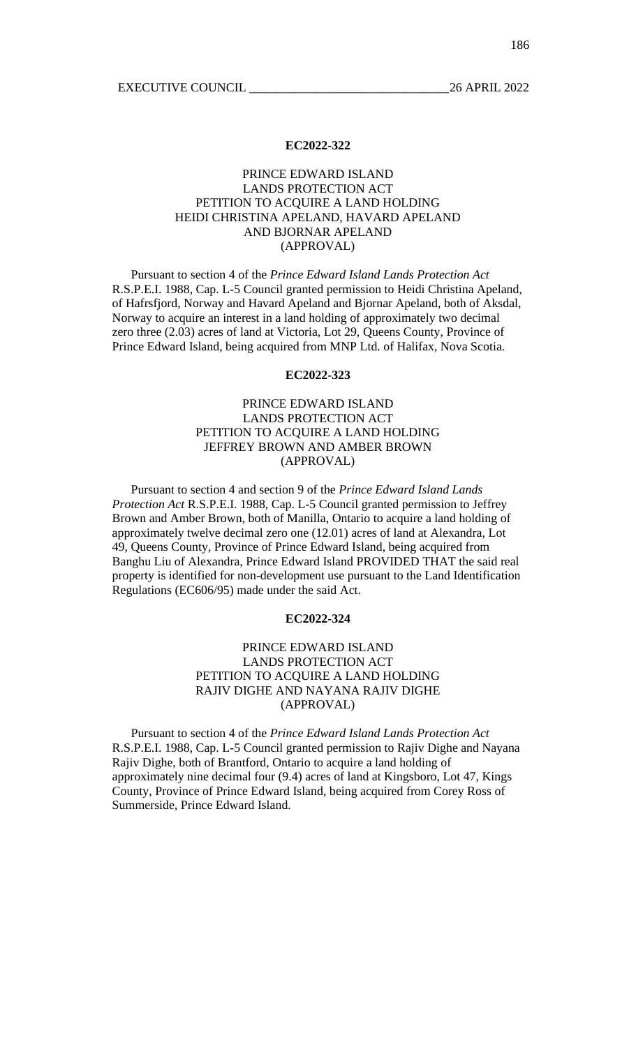# PRINCE EDWARD ISLAND LANDS PROTECTION ACT PETITION TO ACQUIRE A LAND HOLDING HEIDI CHRISTINA APELAND, HAVARD APELAND AND BJORNAR APELAND (APPROVAL)

Pursuant to section 4 of the *Prince Edward Island Lands Protection Act* R.S.P.E.I. 1988, Cap. L-5 Council granted permission to Heidi Christina Apeland, of Hafrsfjord, Norway and Havard Apeland and Bjornar Apeland, both of Aksdal, Norway to acquire an interest in a land holding of approximately two decimal zero three (2.03) acres of land at Victoria, Lot 29, Queens County, Province of Prince Edward Island, being acquired from MNP Ltd. of Halifax, Nova Scotia.

### **EC2022-323**

# PRINCE EDWARD ISLAND LANDS PROTECTION ACT PETITION TO ACQUIRE A LAND HOLDING JEFFREY BROWN AND AMBER BROWN (APPROVAL)

Pursuant to section 4 and section 9 of the *Prince Edward Island Lands Protection Act* R.S.P.E.I. 1988, Cap. L-5 Council granted permission to Jeffrey Brown and Amber Brown, both of Manilla, Ontario to acquire a land holding of approximately twelve decimal zero one (12.01) acres of land at Alexandra, Lot 49, Queens County, Province of Prince Edward Island, being acquired from Banghu Liu of Alexandra, Prince Edward Island PROVIDED THAT the said real property is identified for non-development use pursuant to the Land Identification Regulations (EC606/95) made under the said Act.

# **EC2022-324**

# PRINCE EDWARD ISLAND LANDS PROTECTION ACT PETITION TO ACQUIRE A LAND HOLDING RAJIV DIGHE AND NAYANA RAJIV DIGHE (APPROVAL)

Pursuant to section 4 of the *Prince Edward Island Lands Protection Act* R.S.P.E.I. 1988, Cap. L-5 Council granted permission to Rajiv Dighe and Nayana Rajiv Dighe, both of Brantford, Ontario to acquire a land holding of approximately nine decimal four (9.4) acres of land at Kingsboro, Lot 47, Kings County, Province of Prince Edward Island, being acquired from Corey Ross of Summerside, Prince Edward Island.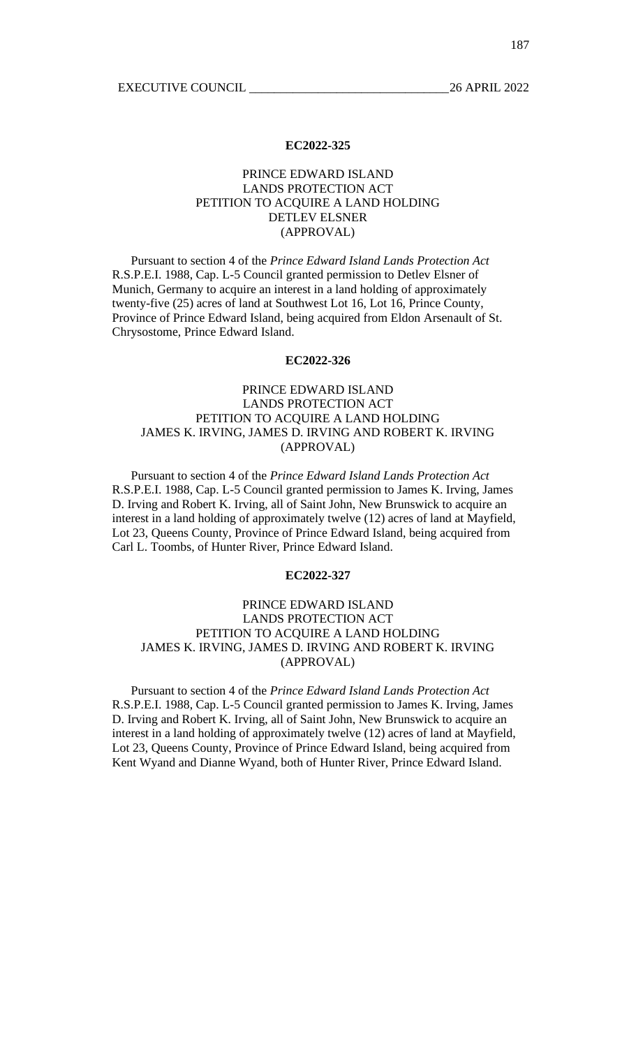# PRINCE EDWARD ISLAND LANDS PROTECTION ACT PETITION TO ACQUIRE A LAND HOLDING DETLEV ELSNER (APPROVAL)

Pursuant to section 4 of the *Prince Edward Island Lands Protection Act* R.S.P.E.I. 1988, Cap. L-5 Council granted permission to Detlev Elsner of Munich, Germany to acquire an interest in a land holding of approximately twenty-five (25) acres of land at Southwest Lot 16, Lot 16, Prince County, Province of Prince Edward Island, being acquired from Eldon Arsenault of St. Chrysostome, Prince Edward Island.

## **EC2022-326**

# PRINCE EDWARD ISLAND LANDS PROTECTION ACT PETITION TO ACQUIRE A LAND HOLDING JAMES K. IRVING, JAMES D. IRVING AND ROBERT K. IRVING (APPROVAL)

Pursuant to section 4 of the *Prince Edward Island Lands Protection Act* R.S.P.E.I. 1988, Cap. L-5 Council granted permission to James K. Irving, James D. Irving and Robert K. Irving, all of Saint John, New Brunswick to acquire an interest in a land holding of approximately twelve (12) acres of land at Mayfield, Lot 23, Queens County, Province of Prince Edward Island, being acquired from Carl L. Toombs, of Hunter River, Prince Edward Island.

## **EC2022-327**

# PRINCE EDWARD ISLAND LANDS PROTECTION ACT PETITION TO ACQUIRE A LAND HOLDING JAMES K. IRVING, JAMES D. IRVING AND ROBERT K. IRVING (APPROVAL)

Pursuant to section 4 of the *Prince Edward Island Lands Protection Act* R.S.P.E.I. 1988, Cap. L-5 Council granted permission to James K. Irving, James D. Irving and Robert K. Irving, all of Saint John, New Brunswick to acquire an interest in a land holding of approximately twelve (12) acres of land at Mayfield, Lot 23, Queens County, Province of Prince Edward Island, being acquired from Kent Wyand and Dianne Wyand, both of Hunter River, Prince Edward Island.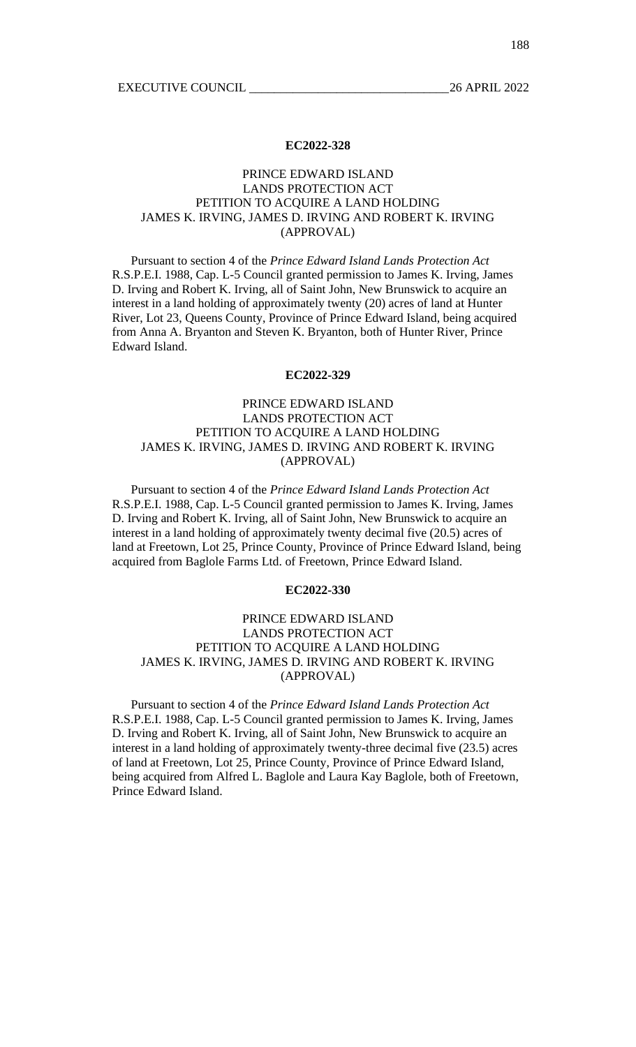# PRINCE EDWARD ISLAND LANDS PROTECTION ACT PETITION TO ACQUIRE A LAND HOLDING JAMES K. IRVING, JAMES D. IRVING AND ROBERT K. IRVING (APPROVAL)

Pursuant to section 4 of the *Prince Edward Island Lands Protection Act* R.S.P.E.I. 1988, Cap. L-5 Council granted permission to James K. Irving, James D. Irving and Robert K. Irving, all of Saint John, New Brunswick to acquire an interest in a land holding of approximately twenty (20) acres of land at Hunter River, Lot 23, Queens County, Province of Prince Edward Island, being acquired from Anna A. Bryanton and Steven K. Bryanton, both of Hunter River, Prince Edward Island.

### **EC2022-329**

# PRINCE EDWARD ISLAND LANDS PROTECTION ACT PETITION TO ACQUIRE A LAND HOLDING JAMES K. IRVING, JAMES D. IRVING AND ROBERT K. IRVING (APPROVAL)

Pursuant to section 4 of the *Prince Edward Island Lands Protection Act* R.S.P.E.I. 1988, Cap. L-5 Council granted permission to James K. Irving, James D. Irving and Robert K. Irving, all of Saint John, New Brunswick to acquire an interest in a land holding of approximately twenty decimal five (20.5) acres of land at Freetown, Lot 25, Prince County, Province of Prince Edward Island, being acquired from Baglole Farms Ltd. of Freetown, Prince Edward Island.

### **EC2022-330**

# PRINCE EDWARD ISLAND LANDS PROTECTION ACT PETITION TO ACQUIRE A LAND HOLDING JAMES K. IRVING, JAMES D. IRVING AND ROBERT K. IRVING (APPROVAL)

Pursuant to section 4 of the *Prince Edward Island Lands Protection Act* R.S.P.E.I. 1988, Cap. L-5 Council granted permission to James K. Irving, James D. Irving and Robert K. Irving, all of Saint John, New Brunswick to acquire an interest in a land holding of approximately twenty-three decimal five  $(23.5)$  acres of land at Freetown, Lot 25, Prince County, Province of Prince Edward Island, being acquired from Alfred L. Baglole and Laura Kay Baglole, both of Freetown, Prince Edward Island.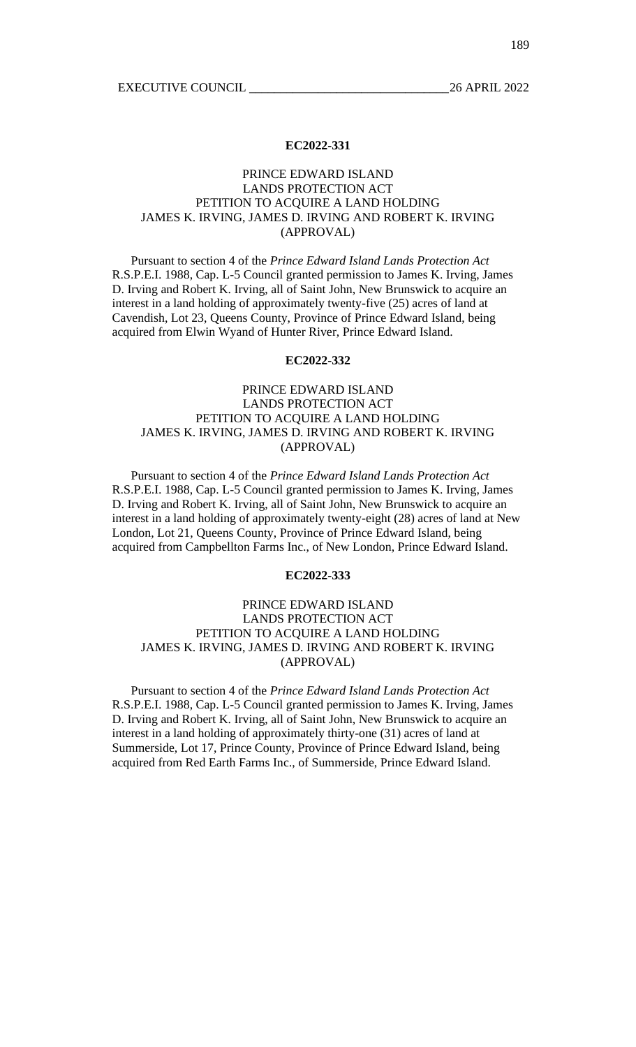# PRINCE EDWARD ISLAND LANDS PROTECTION ACT PETITION TO ACQUIRE A LAND HOLDING JAMES K. IRVING, JAMES D. IRVING AND ROBERT K. IRVING (APPROVAL)

Pursuant to section 4 of the *Prince Edward Island Lands Protection Act* R.S.P.E.I. 1988, Cap. L-5 Council granted permission to James K. Irving, James D. Irving and Robert K. Irving, all of Saint John, New Brunswick to acquire an interest in a land holding of approximately twenty-five (25) acres of land at Cavendish, Lot 23, Queens County, Province of Prince Edward Island, being acquired from Elwin Wyand of Hunter River, Prince Edward Island.

## **EC2022-332**

# PRINCE EDWARD ISLAND LANDS PROTECTION ACT PETITION TO ACQUIRE A LAND HOLDING JAMES K. IRVING, JAMES D. IRVING AND ROBERT K. IRVING (APPROVAL)

Pursuant to section 4 of the *Prince Edward Island Lands Protection Act* R.S.P.E.I. 1988, Cap. L-5 Council granted permission to James K. Irving, James D. Irving and Robert K. Irving, all of Saint John, New Brunswick to acquire an interest in a land holding of approximately twenty-eight (28) acres of land at New London, Lot 21, Queens County, Province of Prince Edward Island, being acquired from Campbellton Farms Inc., of New London, Prince Edward Island.

## **EC2022-333**

# PRINCE EDWARD ISLAND LANDS PROTECTION ACT PETITION TO ACQUIRE A LAND HOLDING JAMES K. IRVING, JAMES D. IRVING AND ROBERT K. IRVING (APPROVAL)

Pursuant to section 4 of the *Prince Edward Island Lands Protection Act* R.S.P.E.I. 1988, Cap. L-5 Council granted permission to James K. Irving, James D. Irving and Robert K. Irving, all of Saint John, New Brunswick to acquire an interest in a land holding of approximately thirty-one (31) acres of land at Summerside, Lot 17, Prince County, Province of Prince Edward Island, being acquired from Red Earth Farms Inc., of Summerside, Prince Edward Island.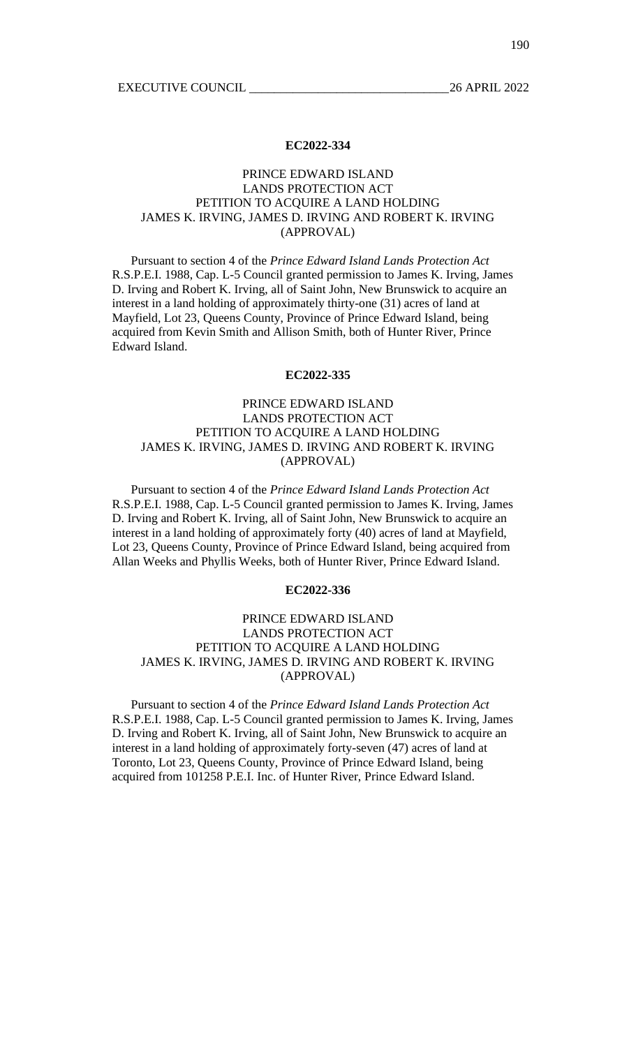# PRINCE EDWARD ISLAND LANDS PROTECTION ACT PETITION TO ACQUIRE A LAND HOLDING JAMES K. IRVING, JAMES D. IRVING AND ROBERT K. IRVING (APPROVAL)

Pursuant to section 4 of the *Prince Edward Island Lands Protection Act* R.S.P.E.I. 1988, Cap. L-5 Council granted permission to James K. Irving, James D. Irving and Robert K. Irving, all of Saint John, New Brunswick to acquire an interest in a land holding of approximately thirty-one (31) acres of land at Mayfield, Lot 23, Queens County, Province of Prince Edward Island, being acquired from Kevin Smith and Allison Smith, both of Hunter River, Prince Edward Island.

### **EC2022-335**

# PRINCE EDWARD ISLAND LANDS PROTECTION ACT PETITION TO ACQUIRE A LAND HOLDING JAMES K. IRVING, JAMES D. IRVING AND ROBERT K. IRVING (APPROVAL)

Pursuant to section 4 of the *Prince Edward Island Lands Protection Act* R.S.P.E.I. 1988, Cap. L-5 Council granted permission to James K. Irving, James D. Irving and Robert K. Irving, all of Saint John, New Brunswick to acquire an interest in a land holding of approximately forty (40) acres of land at Mayfield, Lot 23, Queens County, Province of Prince Edward Island, being acquired from Allan Weeks and Phyllis Weeks, both of Hunter River, Prince Edward Island.

### **EC2022-336**

# PRINCE EDWARD ISLAND LANDS PROTECTION ACT PETITION TO ACQUIRE A LAND HOLDING JAMES K. IRVING, JAMES D. IRVING AND ROBERT K. IRVING (APPROVAL)

Pursuant to section 4 of the *Prince Edward Island Lands Protection Act* R.S.P.E.I. 1988, Cap. L-5 Council granted permission to James K. Irving, James D. Irving and Robert K. Irving, all of Saint John, New Brunswick to acquire an interest in a land holding of approximately forty-seven (47) acres of land at Toronto, Lot 23, Queens County, Province of Prince Edward Island, being acquired from 101258 P.E.I. Inc. of Hunter River, Prince Edward Island.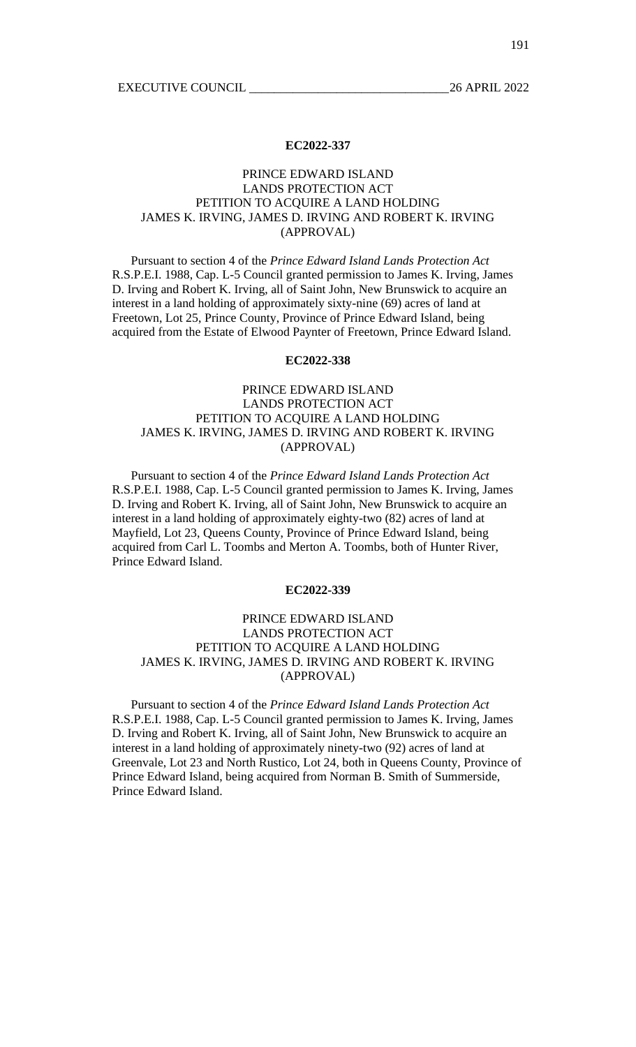# PRINCE EDWARD ISLAND LANDS PROTECTION ACT PETITION TO ACQUIRE A LAND HOLDING JAMES K. IRVING, JAMES D. IRVING AND ROBERT K. IRVING (APPROVAL)

Pursuant to section 4 of the *Prince Edward Island Lands Protection Act* R.S.P.E.I. 1988, Cap. L-5 Council granted permission to James K. Irving, James D. Irving and Robert K. Irving, all of Saint John, New Brunswick to acquire an interest in a land holding of approximately sixty-nine (69) acres of land at Freetown, Lot 25, Prince County, Province of Prince Edward Island, being acquired from the Estate of Elwood Paynter of Freetown, Prince Edward Island.

## **EC2022-338**

# PRINCE EDWARD ISLAND LANDS PROTECTION ACT PETITION TO ACQUIRE A LAND HOLDING JAMES K. IRVING, JAMES D. IRVING AND ROBERT K. IRVING (APPROVAL)

Pursuant to section 4 of the *Prince Edward Island Lands Protection Act* R.S.P.E.I. 1988, Cap. L-5 Council granted permission to James K. Irving, James D. Irving and Robert K. Irving, all of Saint John, New Brunswick to acquire an interest in a land holding of approximately eighty-two (82) acres of land at Mayfield, Lot 23, Queens County, Province of Prince Edward Island, being acquired from Carl L. Toombs and Merton A. Toombs, both of Hunter River, Prince Edward Island.

#### **EC2022-339**

# PRINCE EDWARD ISLAND LANDS PROTECTION ACT PETITION TO ACQUIRE A LAND HOLDING JAMES K. IRVING, JAMES D. IRVING AND ROBERT K. IRVING (APPROVAL)

Pursuant to section 4 of the *Prince Edward Island Lands Protection Act* R.S.P.E.I. 1988, Cap. L-5 Council granted permission to James K. Irving, James D. Irving and Robert K. Irving, all of Saint John, New Brunswick to acquire an interest in a land holding of approximately ninety-two (92) acres of land at Greenvale, Lot 23 and North Rustico, Lot 24, both in Queens County, Province of Prince Edward Island, being acquired from Norman B. Smith of Summerside, Prince Edward Island.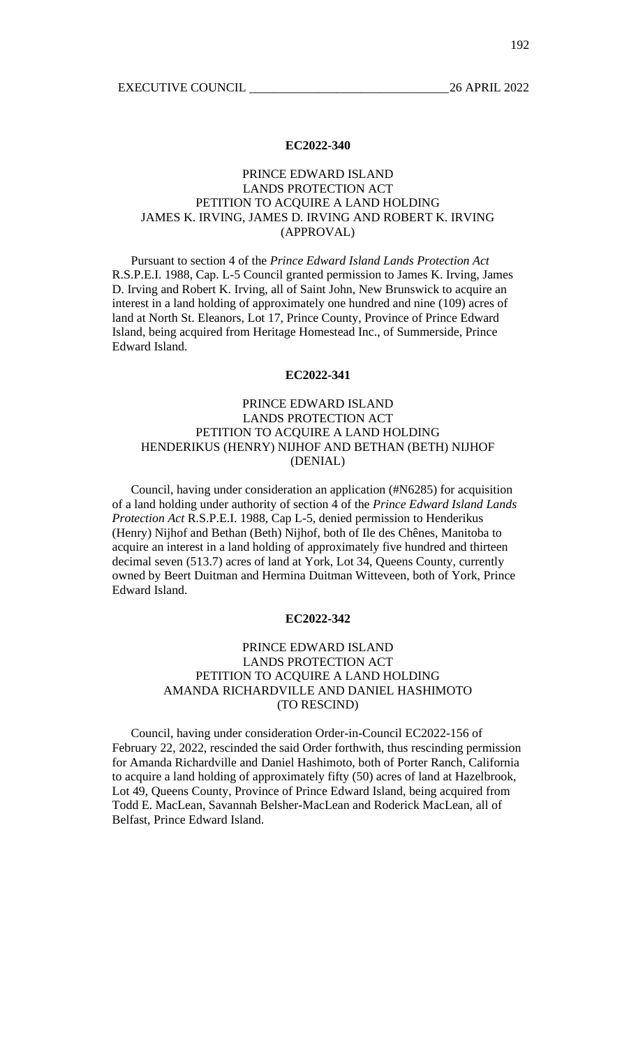# PRINCE EDWARD ISLAND LANDS PROTECTION ACT PETITION TO ACQUIRE A LAND HOLDING JAMES K. IRVING, JAMES D. IRVING AND ROBERT K. IRVING (APPROVAL)

Pursuant to section 4 of the *Prince Edward Island Lands Protection Act* R.S.P.E.I. 1988, Cap. L-5 Council granted permission to James K. Irving, James D. Irving and Robert K. Irving, all of Saint John, New Brunswick to acquire an interest in a land holding of approximately one hundred and nine (109) acres of land at North St. Eleanors, Lot 17, Prince County, Province of Prince Edward Island, being acquired from Heritage Homestead Inc., of Summerside, Prince Edward Island.

## **EC2022-341**

# PRINCE EDWARD ISLAND LANDS PROTECTION ACT PETITION TO ACQUIRE A LAND HOLDING HENDERIKUS (HENRY) NIJHOF AND BETHAN (BETH) NIJHOF (DENIAL)

Council, having under consideration an application (#N6285) for acquisition of a land holding under authority of section 4 of the *Prince Edward Island Lands Protection Act* R.S.P.E.I. 1988, Cap L-5, denied permission to Henderikus (Henry) Nijhof and Bethan (Beth) Nijhof, both of Ile des Chênes, Manitoba to acquire an interest in a land holding of approximately five hundred and thirteen decimal seven (513.7) acres of land at York, Lot 34, Queens County, currently owned by Beert Duitman and Hermina Duitman Witteveen, both of York, Prince Edward Island.

## **EC2022-342**

## PRINCE EDWARD ISLAND LANDS PROTECTION ACT PETITION TO ACQUIRE A LAND HOLDING AMANDA RICHARDVILLE AND DANIEL HASHIMOTO (TO RESCIND)

Council, having under consideration Order-in-Council EC2022-156 of February 22, 2022, rescinded the said Order forthwith, thus rescinding permission for Amanda Richardville and Daniel Hashimoto, both of Porter Ranch, California to acquire a land holding of approximately fifty (50) acres of land at Hazelbrook, Lot 49, Queens County, Province of Prince Edward Island, being acquired from Todd E. MacLean, Savannah Belsher-MacLean and Roderick MacLean, all of Belfast, Prince Edward Island.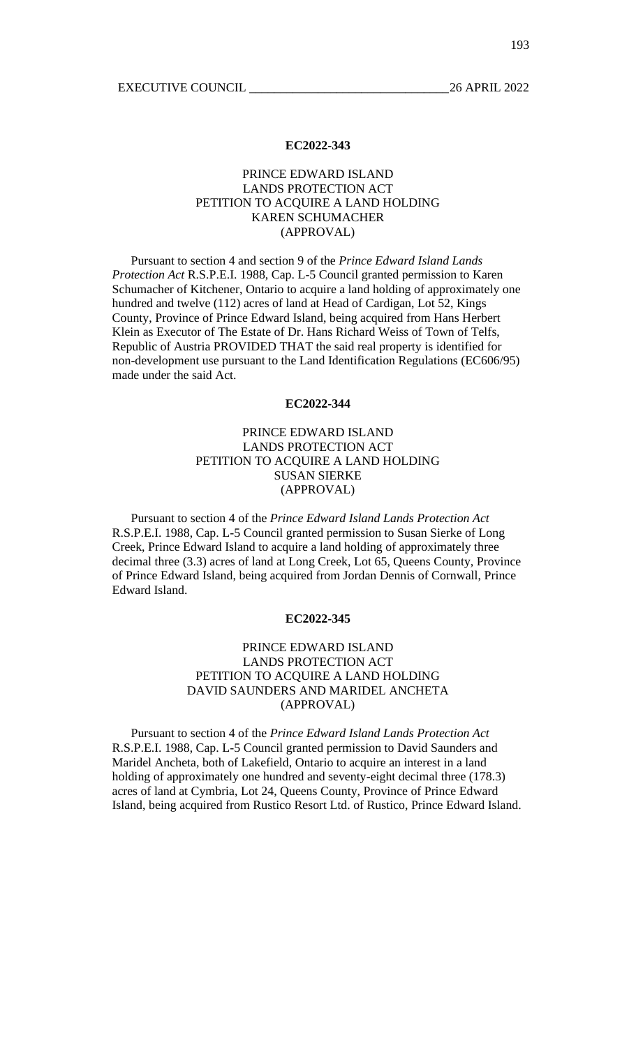# PRINCE EDWARD ISLAND LANDS PROTECTION ACT PETITION TO ACQUIRE A LAND HOLDING KAREN SCHUMACHER (APPROVAL)

Pursuant to section 4 and section 9 of the *Prince Edward Island Lands Protection Act* R.S.P.E.I. 1988, Cap. L-5 Council granted permission to Karen Schumacher of Kitchener, Ontario to acquire a land holding of approximately one hundred and twelve (112) acres of land at Head of Cardigan, Lot 52, Kings County, Province of Prince Edward Island, being acquired from Hans Herbert Klein as Executor of The Estate of Dr. Hans Richard Weiss of Town of Telfs, Republic of Austria PROVIDED THAT the said real property is identified for non-development use pursuant to the Land Identification Regulations (EC606/95) made under the said Act.

#### **EC2022-344**

# PRINCE EDWARD ISLAND LANDS PROTECTION ACT PETITION TO ACQUIRE A LAND HOLDING SUSAN SIERKE (APPROVAL)

Pursuant to section 4 of the *Prince Edward Island Lands Protection Act* R.S.P.E.I. 1988, Cap. L-5 Council granted permission to Susan Sierke of Long Creek, Prince Edward Island to acquire a land holding of approximately three decimal three (3.3) acres of land at Long Creek, Lot 65, Queens County, Province of Prince Edward Island, being acquired from Jordan Dennis of Cornwall, Prince Edward Island.

## **EC2022-345**

## PRINCE EDWARD ISLAND LANDS PROTECTION ACT PETITION TO ACQUIRE A LAND HOLDING DAVID SAUNDERS AND MARIDEL ANCHETA (APPROVAL)

Pursuant to section 4 of the *Prince Edward Island Lands Protection Act* R.S.P.E.I. 1988, Cap. L-5 Council granted permission to David Saunders and Maridel Ancheta, both of Lakefield, Ontario to acquire an interest in a land holding of approximately one hundred and seventy-eight decimal three (178.3) acres of land at Cymbria, Lot 24, Queens County, Province of Prince Edward Island, being acquired from Rustico Resort Ltd. of Rustico, Prince Edward Island.